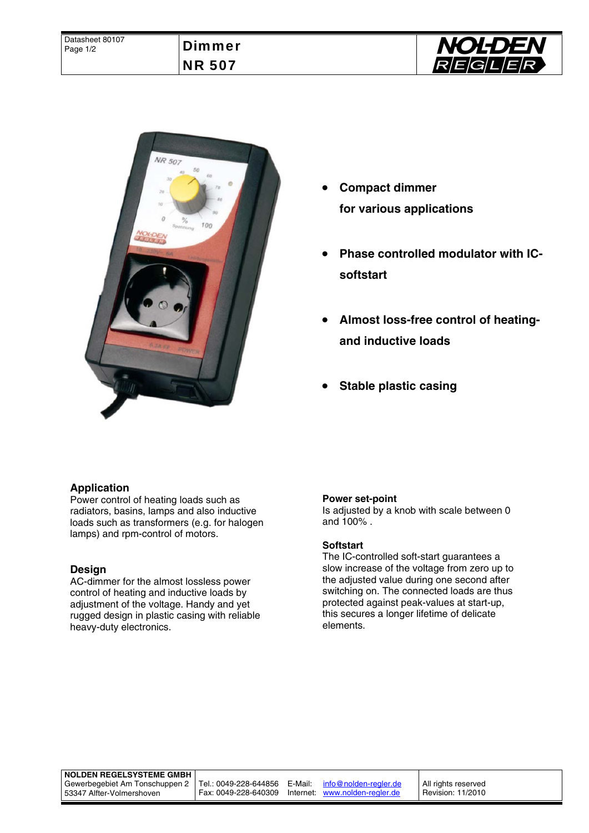



- **Compact dimmer for various applications**
- **Phase controlled modulator with ICsoftstart**
- **Almost loss-free control of heatingand inductive loads**
- **Stable plastic casing**

# **Application**

Power control of heating loads such as radiators, basins, lamps and also inductive loads such as transformers (e.g. for halogen lamps) and rpm-control of motors.

### **Design**

AC-dimmer for the almost lossless power control of heating and inductive loads by adjustment of the voltage. Handy and yet rugged design in plastic casing with reliable heavy-duty electronics.

### **Power set-point**

Is adjusted by a knob with scale between 0 and 100% .

### **Softstart**

The IC-controlled soft-start guarantees a slow increase of the voltage from zero up to the adjusted value during one second after switching on. The connected loads are thus protected against peak-values at start-up, this secures a longer lifetime of delicate elements.

#### **NOLDEN REGELSYSTEME GMBH**

Gewerbegebiet Am Tonschuppen 2 53347 Alfter-Volmershoven

Tel.: 0049-228-644856 E-Mail: info@nolden-regler.de Fax: 0049-228-640309 Internet: www.nolden-regler.de

All rights reserved Revision: 11/2010